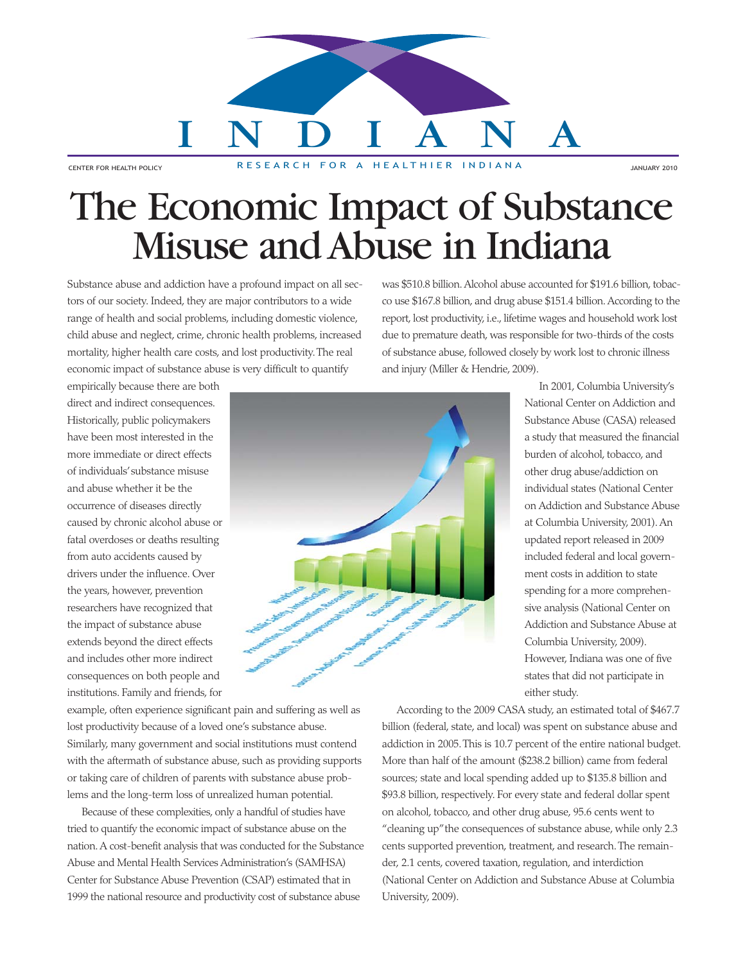# INDIANA

CENTER FOR HEALTH POLICY RESEARCH FOR A HEALTHIER INDIANA

## The Economic Impact of Substance Misuse and Abuse in Indiana

Substance abuse and addiction have a profound impact on all sectors of our society. Indeed, they are major contributors to a wide range of health and social problems, including domestic violence, child abuse and neglect, crime, chronic health problems, increased mortality, higher health care costs, and lost productivity. The real economic impact of substance abuse is very difficult to quantify

was \$510.8 billion. Alcohol abuse accounted for \$191.6 billion, tobacco use \$167.8 billion, and drug abuse \$151.4 billion. According to the report, lost productivity, i.e., lifetime wages and household work lost due to premature death, was responsible for two-thirds of the costs of substance abuse, followed closely by work lost to chronic illness and injury (Miller & Hendrie, 2009).

empirically because there are both direct and indirect consequences. Historically, public policymakers have been most interested in the more immediate or direct effects of individuals' substance misuse and abuse whether it be the occurrence of diseases directly caused by chronic alcohol abuse or fatal overdoses or deaths resulting from auto accidents caused by drivers under the influence. Over the years, however, prevention researchers have recognized that the impact of substance abuse extends beyond the direct effects and includes other more indirect consequences on both people and institutions. Family and friends, for



In 2001, Columbia University's National Center on Addiction and Substance Abuse (CASA) released a study that measured the financial burden of alcohol, tobacco, and other drug abuse/addiction on individual states (National Center on Addiction and Substance Abuse at Columbia University, 2001). An updated report released in 2009 included federal and local government costs in addition to state spending for a more comprehensive analysis (National Center on Addiction and Substance Abuse at Columbia University, 2009). However, Indiana was one of five states that did not participate in either study.

example, often experience significant pain and suffering as well as lost productivity because of a loved one's substance abuse. Similarly, many government and social institutions must contend with the aftermath of substance abuse, such as providing supports or taking care of children of parents with substance abuse problems and the long-term loss of unrealized human potential.

Because of these complexities, only a handful of studies have tried to quantify the economic impact of substance abuse on the nation. A cost-benefit analysis that was conducted for the Substance Abuse and Mental Health Services Administration's (SAMHSA) Center for Substance Abuse Prevention (CSAP) estimated that in 1999 the national resource and productivity cost of substance abuse

According to the 2009 CASA study, an estimated total of \$467.7 billion (federal, state, and local) was spent on substance abuse and addiction in 2005. This is 10.7 percent of the entire national budget. More than half of the amount (\$238.2 billion) came from federal sources; state and local spending added up to \$135.8 billion and \$93.8 billion, respectively. For every state and federal dollar spent on alcohol, tobacco, and other drug abuse, 95.6 cents went to "cleaning up" the consequences of substance abuse, while only 2.3 cents supported prevention, treatment, and research. The remainder, 2.1 cents, covered taxation, regulation, and interdiction (National Center on Addiction and Substance Abuse at Columbia University, 2009).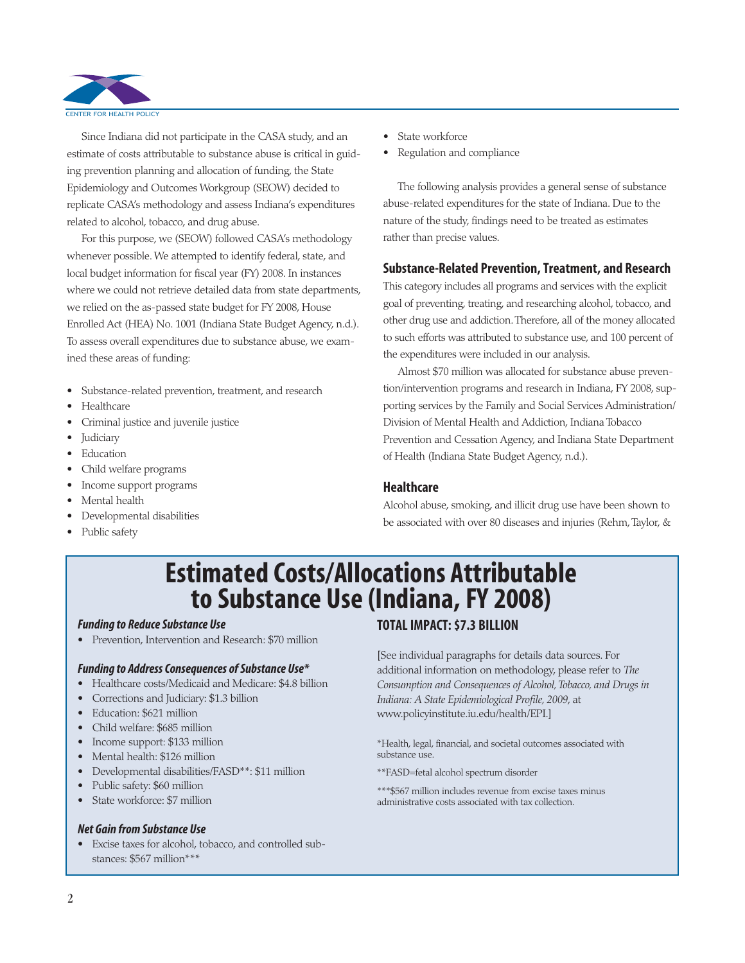

Since Indiana did not participate in the CASA study, and an estimate of costs attributable to substance abuse is critical in guiding prevention planning and allocation of funding, the State Epidemiology and Outcomes Workgroup (SEOW) decided to replicate CASA's methodology and assess Indiana's expenditures related to alcohol, tobacco, and drug abuse.

For this purpose, we (SEOW) followed CASA's methodology whenever possible. We attempted to identify federal, state, and local budget information for fiscal year (FY) 2008. In instances where we could not retrieve detailed data from state departments, we relied on the as-passed state budget for FY 2008, House Enrolled Act (HEA) No. 1001 (Indiana State Budget Agency, n.d.). To assess overall expenditures due to substance abuse, we examined these areas of funding:

- Substance-related prevention, treatment, and research
- Healthcare
- Criminal justice and juvenile justice
- **Judiciary**
- **Education**
- Child welfare programs
- Income support programs
- Mental health
- Developmental disabilities
- Public safety
- State workforce
- Regulation and compliance

The following analysis provides a general sense of substance abuse-related expenditures for the state of Indiana. Due to the nature of the study, findings need to be treated as estimates rather than precise values.

#### **Substance-Related Prevention, Treatment, and Research**

This category includes all programs and services with the explicit goal of preventing, treating, and researching alcohol, tobacco, and other drug use and addiction. Therefore, all of the money allocated to such efforts was attributed to substance use, and 100 percent of the expenditures were included in our analysis.

Almost \$70 million was allocated for substance abuse prevention/intervention programs and research in Indiana, FY 2008, supporting services by the Family and Social Services Administration/ Division of Mental Health and Addiction, Indiana Tobacco Prevention and Cessation Agency, and Indiana State Department of Health (Indiana State Budget Agency, n.d.).

#### **Healthcare**

Alcohol abuse, smoking, and illicit drug use have been shown to be associated with over 80 diseases and injuries (Rehm, Taylor, &

## **Estimated Costs/Allocations Attributable to Substance Use (Indiana, FY 2008)**

#### *Funding to Reduce Substance Use*

• Prevention, Intervention and Research: \$70 million

#### *Funding to Address Consequences of Substance Use\**

- Healthcare costs/Medicaid and Medicare: \$4.8 billion
- Corrections and Judiciary: \$1.3 billion
- Education: \$621 million
- Child welfare: \$685 million
- Income support: \$133 million
- Mental health: \$126 million
- Developmental disabilities/FASD\*\*: \$11 million
- Public safety: \$60 million
- State workforce: \$7 million

#### *Net Gain from Substance Use*

• Excise taxes for alcohol, tobacco, and controlled substances: \$567 million\*\*\*

#### **TOTAL IMPACT: \$7.3 BILLION**

[See individual paragraphs for details data sources. For additional information on methodology, please refer to *The Consumption and Consequences of Alcohol, Tobacco, and Drugs in Indiana: A State Epidemiological Profile, 2009*, at www.policyinstitute.iu.edu/health/EPI.]

\*Health, legal, financial, and societal outcomes associated with substance use.

\*\*FASD=fetal alcohol spectrum disorder

\*\*\*\$567 million includes revenue from excise taxes minus administrative costs associated with tax collection.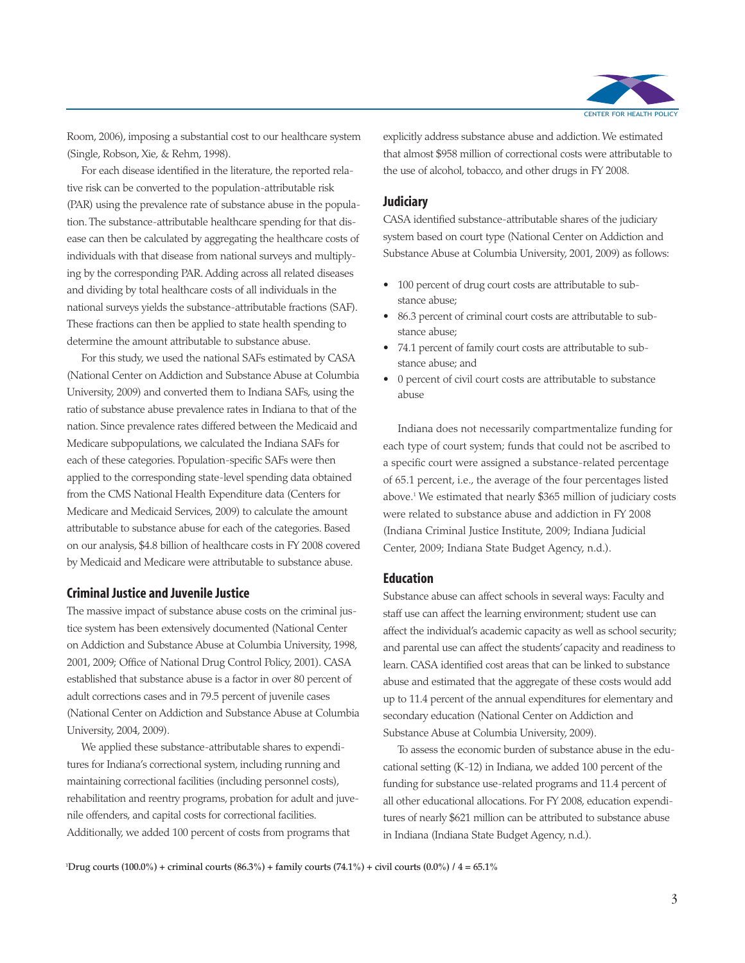

Room, 2006), imposing a substantial cost to our healthcare system (Single, Robson, Xie, & Rehm, 1998).

For each disease identified in the literature, the reported relative risk can be converted to the population-attributable risk (PAR) using the prevalence rate of substance abuse in the population. The substance-attributable healthcare spending for that disease can then be calculated by aggregating the healthcare costs of individuals with that disease from national surveys and multiplying by the corresponding PAR. Adding across all related diseases and dividing by total healthcare costs of all individuals in the national surveys yields the substance-attributable fractions (SAF). These fractions can then be applied to state health spending to determine the amount attributable to substance abuse.

For this study, we used the national SAFs estimated by CASA (National Center on Addiction and Substance Abuse at Columbia University, 2009) and converted them to Indiana SAFs, using the ratio of substance abuse prevalence rates in Indiana to that of the nation. Since prevalence rates differed between the Medicaid and Medicare subpopulations, we calculated the Indiana SAFs for each of these categories. Population-specific SAFs were then applied to the corresponding state-level spending data obtained from the CMS National Health Expenditure data (Centers for Medicare and Medicaid Services, 2009) to calculate the amount attributable to substance abuse for each of the categories. Based on our analysis, \$4.8 billion of healthcare costs in FY 2008 covered by Medicaid and Medicare were attributable to substance abuse.

#### **Criminal Justice and Juvenile Justice**

The massive impact of substance abuse costs on the criminal justice system has been extensively documented (National Center on Addiction and Substance Abuse at Columbia University, 1998, 2001, 2009; Office of National Drug Control Policy, 2001). CASA established that substance abuse is a factor in over 80 percent of adult corrections cases and in 79.5 percent of juvenile cases (National Center on Addiction and Substance Abuse at Columbia University, 2004, 2009).

We applied these substance-attributable shares to expenditures for Indiana's correctional system, including running and maintaining correctional facilities (including personnel costs), rehabilitation and reentry programs, probation for adult and juvenile offenders, and capital costs for correctional facilities. Additionally, we added 100 percent of costs from programs that

explicitly address substance abuse and addiction. We estimated that almost \$958 million of correctional costs were attributable to the use of alcohol, tobacco, and other drugs in FY 2008.

#### **Judiciary**

CASA identified substance-attributable shares of the judiciary system based on court type (National Center on Addiction and Substance Abuse at Columbia University, 2001, 2009) as follows:

- 100 percent of drug court costs are attributable to substance abuse;
- 86.3 percent of criminal court costs are attributable to substance abuse;
- 74.1 percent of family court costs are attributable to substance abuse; and
- 0 percent of civil court costs are attributable to substance abuse

Indiana does not necessarily compartmentalize funding for each type of court system; funds that could not be ascribed to a specific court were assigned a substance-related percentage of 65.1 percent, i.e., the average of the four percentages listed above.1 We estimated that nearly \$365 million of judiciary costs were related to substance abuse and addiction in FY 2008 (Indiana Criminal Justice Institute, 2009; Indiana Judicial Center, 2009; Indiana State Budget Agency, n.d.).

#### **Education**

Substance abuse can affect schools in several ways: Faculty and staff use can affect the learning environment; student use can affect the individual's academic capacity as well as school security; and parental use can affect the students' capacity and readiness to learn. CASA identified cost areas that can be linked to substance abuse and estimated that the aggregate of these costs would add up to 11.4 percent of the annual expenditures for elementary and secondary education (National Center on Addiction and Substance Abuse at Columbia University, 2009).

To assess the economic burden of substance abuse in the educational setting (K-12) in Indiana, we added 100 percent of the funding for substance use-related programs and 11.4 percent of all other educational allocations. For FY 2008, education expenditures of nearly \$621 million can be attributed to substance abuse in Indiana (Indiana State Budget Agency, n.d.).

**1 Drug courts (100.0%) + criminal courts (86.3%) + family courts (74.1%) + civil courts (0.0%) / 4 = 65.1%**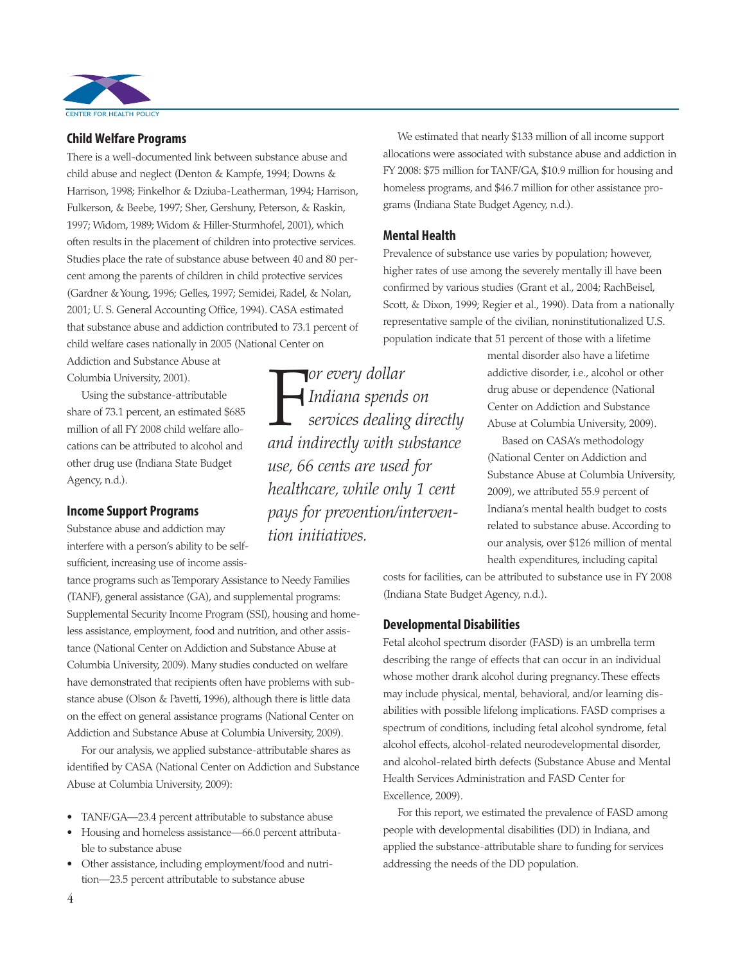

#### **Child Welfare Programs**

There is a well-documented link between substance abuse and child abuse and neglect (Denton & Kampfe, 1994; Downs & Harrison, 1998; Finkelhor & Dziuba-Leatherman, 1994; Harrison, Fulkerson, & Beebe, 1997; Sher, Gershuny, Peterson, & Raskin, 1997; Widom, 1989; Widom & Hiller-Sturmhofel, 2001), which often results in the placement of children into protective services. Studies place the rate of substance abuse between 40 and 80 percent among the parents of children in child protective services (Gardner & Young, 1996; Gelles, 1997; Semidei, Radel, & Nolan, 2001; U. S. General Accounting Office, 1994). CASA estimated that substance abuse and addiction contributed to 73.1 percent of child welfare cases nationally in 2005 (National Center on

Addiction and Substance Abuse at Columbia University, 2001).

Using the substance-attributable share of 73.1 percent, an estimated \$685 million of all FY 2008 child welfare allocations can be attributed to alcohol and other drug use (Indiana State Budget Agency, n.d.).

#### **Income Support Programs**

Substance abuse and addiction may interfere with a person's ability to be selfsufficient, increasing use of income assis-

tance programs such as Temporary Assistance to Needy Families (TANF), general assistance (GA), and supplemental programs: Supplemental Security Income Program (SSI), housing and homeless assistance, employment, food and nutrition, and other assistance (National Center on Addiction and Substance Abuse at Columbia University, 2009). Many studies conducted on welfare have demonstrated that recipients often have problems with substance abuse (Olson & Pavetti, 1996), although there is little data on the effect on general assistance programs (National Center on Addiction and Substance Abuse at Columbia University, 2009).

For our analysis, we applied substance-attributable shares as identified by CASA (National Center on Addiction and Substance Abuse at Columbia University, 2009):

- TANF/GA—23.4 percent attributable to substance abuse
- Housing and homeless assistance—66.0 percent attributable to substance abuse
- Other assistance, including employment/food and nutrition—23.5 percent attributable to substance abuse

We estimated that nearly \$133 million of all income support allocations were associated with substance abuse and addiction in FY 2008: \$75 million for TANF/GA, \$10.9 million for housing and homeless programs, and \$46.7 million for other assistance programs (Indiana State Budget Agency, n.d.).

#### **Mental Health**

**For every dollar**<br>Indiana spends<br>*services dealing*<br>and indirectly with st

*tion initiatives.* 

*Indiana spends on services dealing directly*

*and indirectly with substance*

*healthcare, while only 1 cent pays for preven tion/interven -*

*use, 66 cents are used for*

Prevalence of substance use varies by population; however, higher rates of use among the severely mentally ill have been confirmed by various studies (Grant et al., 2004; RachBeisel, Scott, & Dixon, 1999; Regier et al., 1990). Data from a nationally representative sample of the civilian, noninstitutionalized U.S. population indicate that 51 percent of those with a lifetime

> mental disorder also have a lifetime addictive disorder, i.e., alcohol or other drug abuse or dependence (National Center on Addiction and Substance Abuse at Columbia University, 2009).

Based on CASA's methodology (National Center on Addiction and Substance Abuse at Columbia University, 2009), we attributed 55.9 percent of Indiana's mental health budget to costs related to substance abuse. According to our analysis, over \$126 million of mental health expenditures, including capital

costs for facilities, can be attributed to substance use in FY 2008 (Indiana State Budget Agency, n.d.).

#### **Developmental Disabilities**

Fetal alcohol spectrum disorder (FASD) is an umbrella term describing the range of effects that can occur in an individual whose mother drank alcohol during pregnancy. These effects may include physical, mental, behavioral, and/or learning disabilities with possible lifelong implications. FASD comprises a spectrum of conditions, including fetal alcohol syndrome, fetal alcohol effects, alcohol-related neurodevelopmental disorder, and alcohol-related birth defects (Substance Abuse and Mental Health Services Administration and FASD Center for Excellence, 2009).

For this report, we estimated the prevalence of FASD among people with developmental disabilities (DD) in Indiana, and applied the substance-attributable share to funding for services addressing the needs of the DD population.

4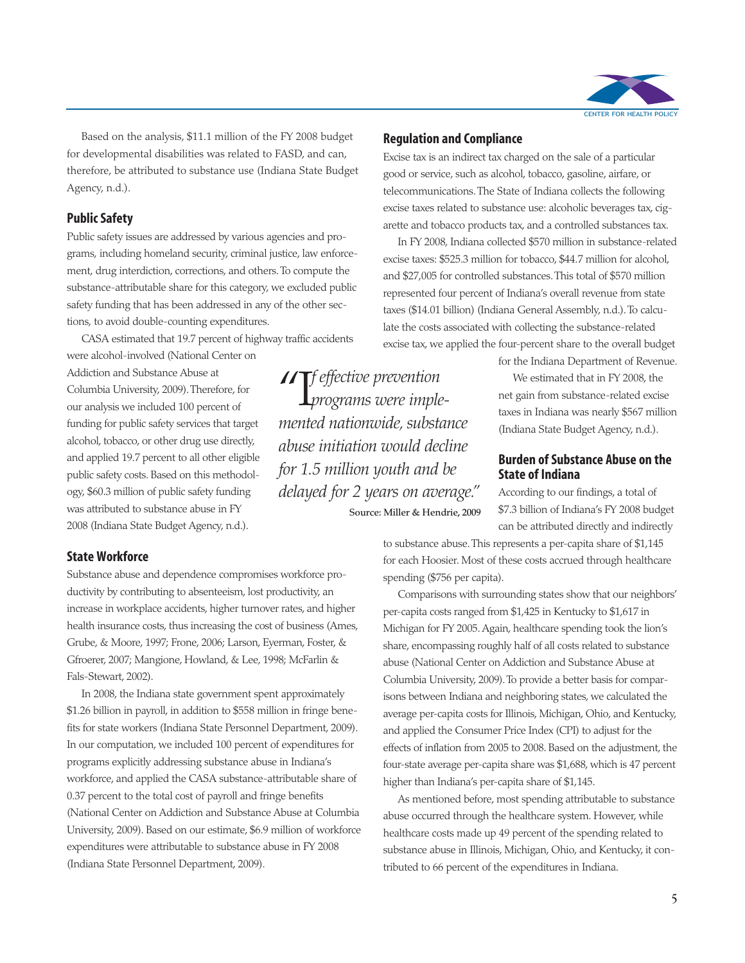

Based on the analysis, \$11.1 million of the FY 2008 budget for developmental disabilities was related to FASD, and can, therefore, be attributed to substance use (Indiana State Budget Agency, n.d.).

#### **Public Safety**

Public safety issues are addressed by various agencies and programs, including homeland security, criminal justice, law enforcement, drug interdiction, corrections, and others. To compute the substance-attributable share for this category, we excluded public safety funding that has been addressed in any of the other sections, to avoid double-counting expenditures.

CASA estimated that 19.7 percent of highway traffic accidents were alcohol-involved (National Center on

Addiction and Substance Abuse at Columbia University, 2009). Therefore, for our analysis we included 100 percent of funding for public safety services that target alcohol, tobacco, or other drug use directly, and applied 19.7 percent to all other eligible public safety costs. Based on this methodology, \$60.3 million of public safety funding was attributed to substance abuse in FY 2008 (Indiana State Budget Agency, n.d.).

### "I*f effective prevention programs were imple mented nationwide, substance abuse initiation would decline for 1.5 million youth and be delayed for 2 years on average."* **Source: Miller & Hendrie, 2009**

#### **Regulation and Compliance**

Excise tax is an indirect tax charged on the sale of a particular good or service, such as alcohol, tobacco, gasoline, airfare, or telecommunications. The State of Indiana collects the following excise taxes related to substance use: alcoholic beverages tax, cigarette and tobacco products tax, and a controlled substances tax.

In FY 2008, Indiana collected \$570 million in substance-related excise taxes: \$525.3 million for tobacco, \$44.7 million for alcohol, and \$27,005 for controlled substances. This total of \$570 million represented four percent of Indiana's overall revenue from state taxes (\$14.01 billion) (Indiana General Assembly, n.d.). To calculate the costs associated with collecting the substance-related excise tax, we applied the four-percent share to the overall budget

for the Indiana Department of Revenue.

We estimated that in FY 2008, the net gain from substance-related excise taxes in Indiana was nearly \$567 million (Indiana State Budget Agency, n.d.).

#### **Burden of Substance Abuse on the State of Indiana**

According to our findings, a total of \$7.3 billion of Indiana's FY 2008 budget can be attributed directly and indirectly

#### **State Workforce**

Substance abuse and dependence compromises workforce productivity by contributing to absenteeism, lost productivity, an increase in workplace accidents, higher turnover rates, and higher health insurance costs, thus increasing the cost of business (Ames, Grube, & Moore, 1997; Frone, 2006; Larson, Eyerman, Foster, & Gfroerer, 2007; Mangione, Howland, & Lee, 1998; McFarlin & Fals-Stewart, 2002).

In 2008, the Indiana state government spent approximately \$1.26 billion in payroll, in addition to \$558 million in fringe benefits for state workers (Indiana State Personnel Department, 2009). In our computation, we included 100 percent of expenditures for programs explicitly addressing substance abuse in Indiana's workforce, and applied the CASA substance-attributable share of 0.37 percent to the total cost of payroll and fringe benefits (National Center on Addiction and Substance Abuse at Columbia University, 2009). Based on our estimate, \$6.9 million of workforce expenditures were attributable to substance abuse in FY 2008 (Indiana State Personnel Department, 2009).

to substance abuse. This represents a per-capita share of \$1,145 for each Hoosier. Most of these costs accrued through healthcare

spending (\$756 per capita). Comparisons with surrounding states show that our neighbors' per-capita costs ranged from \$1,425 in Kentucky to \$1,617 in Michigan for FY 2005. Again, healthcare spending took the lion's

share, encompassing roughly half of all costs related to substance abuse (National Center on Addiction and Substance Abuse at Columbia University, 2009). To provide a better basis for comparisons between Indiana and neighboring states, we calculated the average per-capita costs for Illinois, Michigan, Ohio, and Kentucky, and applied the Consumer Price Index (CPI) to adjust for the effects of inflation from 2005 to 2008. Based on the adjustment, the four-state average per-capita share was \$1,688, which is 47 percent higher than Indiana's per-capita share of \$1,145.

As mentioned before, most spending attributable to substance abuse occurred through the healthcare system. However, while healthcare costs made up 49 percent of the spending related to substance abuse in Illinois, Michigan, Ohio, and Kentucky, it contributed to 66 percent of the expenditures in Indiana.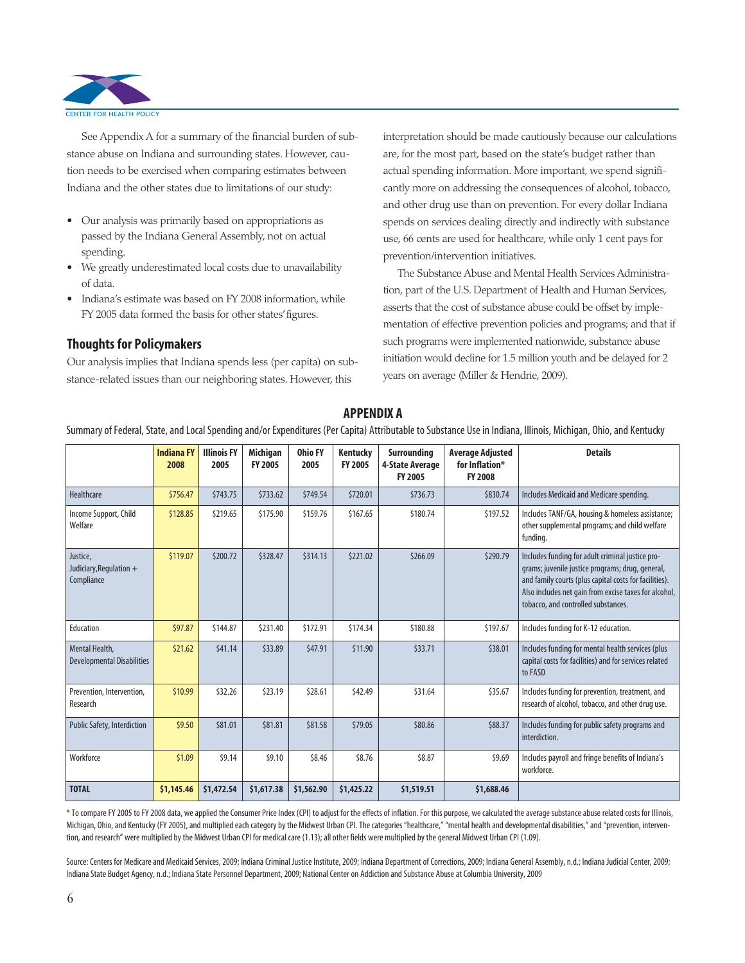

See Appendix A for a summary of the financial burden of substance abuse on Indiana and surrounding states. However, caution needs to be exercised when comparing estimates between Indiana and the other states due to limitations of our study:

- Our analysis was primarily based on appropriations as passed by the Indiana General Assembly, not on actual spending.
- We greatly underestimated local costs due to unavailability of data.
- Indiana's estimate was based on FY 2008 information, while FY 2005 data formed the basis for other states' figures.

#### **Thoughts for Policymakers**

Our analysis implies that Indiana spends less (per capita) on substance-related issues than our neighboring states. However, this

interpretation should be made cautiously because our calculations are, for the most part, based on the state's budget rather than actual spending information. More important, we spend significantly more on addressing the consequences of alcohol, tobacco, and other drug use than on prevention. For every dollar Indiana spends on services dealing directly and indirectly with substance use, 66 cents are used for healthcare, while only 1 cent pays for prevention/intervention initiatives.

The Substance Abuse and Mental Health Services Administra tion, part of the U.S. Department of Health and Human Services, asserts that the cost of substance abuse could be offset by implementation of effective prevention policies and programs; and that if such programs were implemented nationwide, substance abuse initiation would decline for 1.5 million youth and be delayed for 2 years on average (Miller & Hendrie, 2009).

|                                                     | <b>Indiana FY</b><br>2008 | <b>Illinois FY</b><br>2005 | Michigan<br><b>FY 2005</b> | <b>Ohio FY</b><br>2005 | Kentucky<br><b>FY 2005</b> | Surrounding<br>4-State Average<br><b>FY 2005</b> | <b>Average Adjusted</b><br>for Inflation*<br><b>FY 2008</b> | <b>Details</b>                                                                                                                                                                                                                                                 |
|-----------------------------------------------------|---------------------------|----------------------------|----------------------------|------------------------|----------------------------|--------------------------------------------------|-------------------------------------------------------------|----------------------------------------------------------------------------------------------------------------------------------------------------------------------------------------------------------------------------------------------------------------|
| Healthcare                                          | \$756.47                  | \$743.75                   | \$733.62                   | \$749.54               | \$720.01                   | \$736.73                                         | \$830.74                                                    | Includes Medicaid and Medicare spending.                                                                                                                                                                                                                       |
| Income Support, Child<br>Welfare                    | \$128.85                  | \$219.65                   | \$175.90                   | \$159.76               | \$167.65                   | \$180.74                                         | \$197.52                                                    | Includes TANF/GA, housing & homeless assistance;<br>other supplemental programs; and child welfare<br>funding.                                                                                                                                                 |
| Justice,<br>Judiciary, Regulation +<br>Compliance   | \$119.07                  | \$200.72                   | \$328.47                   | \$314.13               | \$221.02                   | \$266.09                                         | \$290.79                                                    | Includes funding for adult criminal justice pro-<br>grams; juvenile justice programs; drug, general,<br>and family courts (plus capital costs for facilities).<br>Also includes net gain from excise taxes for alcohol,<br>tobacco, and controlled substances. |
| Education                                           | \$97.87                   | \$144.87                   | \$231.40                   | \$172.91               | \$174.34                   | \$180.88                                         | \$197.67                                                    | Includes funding for K-12 education.                                                                                                                                                                                                                           |
| Mental Health,<br><b>Developmental Disabilities</b> | \$21.62                   | \$41.14                    | \$33.89                    | \$47.91                | \$11.90                    | \$33.71                                          | \$38.01                                                     | Includes funding for mental health services (plus<br>capital costs for facilities) and for services related<br>to FASD                                                                                                                                         |
| Prevention, Intervention,<br>Research               | \$10.99                   | \$32.26                    | \$23.19                    | \$28.61                | \$42.49                    | \$31.64                                          | \$35.67                                                     | Includes funding for prevention, treatment, and<br>research of alcohol, tobacco, and other drug use.                                                                                                                                                           |
| <b>Public Safety, Interdiction</b>                  | \$9.50                    | \$81.01                    | \$81.81                    | \$81.58                | \$79.05                    | \$80.86                                          | \$88.37                                                     | Includes funding for public safety programs and<br>interdiction.                                                                                                                                                                                               |
| Workforce                                           | \$1.09                    | \$9.14                     | \$9.10                     | \$8.46                 | \$8.76                     | \$8.87                                           | \$9.69                                                      | Includes payroll and fringe benefits of Indiana's<br>workforce.                                                                                                                                                                                                |
| <b>TOTAL</b>                                        | \$1,145.46                | \$1,472.54                 | \$1,617.38                 | \$1,562.90             | \$1,425.22                 | \$1,519.51                                       | \$1,688.46                                                  |                                                                                                                                                                                                                                                                |

**APPENDIX A**

Summary of Federal, State, and Local Spending and/or Expenditures (Per Capita) Attributable to Substance Use in Indiana, Illinois, Michigan, Ohio, and Kentucky

\* To compare FY 2005 to FY 2008 data, we applied the Consumer Price Index (CPI) to adjust for the effects of inflation. For this purpose, we calculated the average substance abuse related costs for Illinois, Michigan, Ohio, and Kentucky (FY 2005), and multiplied each category by the Midwest Urban CPI. The categories "healthcare," "mental health and developmental disabilities," and "prevention, intervention, and research" were multiplied by the Midwest Urban CPI for medical care (1.13); all other fields were multiplied by the general Midwest Urban CPI (1.09).

Source: Centers for Medicare and Medicaid Services, 2009; Indiana Criminal Justice Institute, 2009; Indiana Department of Corrections, 2009; Indiana General Assembly, n.d.; Indiana Judicial Center, 2009; Indiana State Budget Agency, n.d.; Indiana State Personnel Department, 2009; National Center on Addiction and Substance Abuse at Columbia University, 2009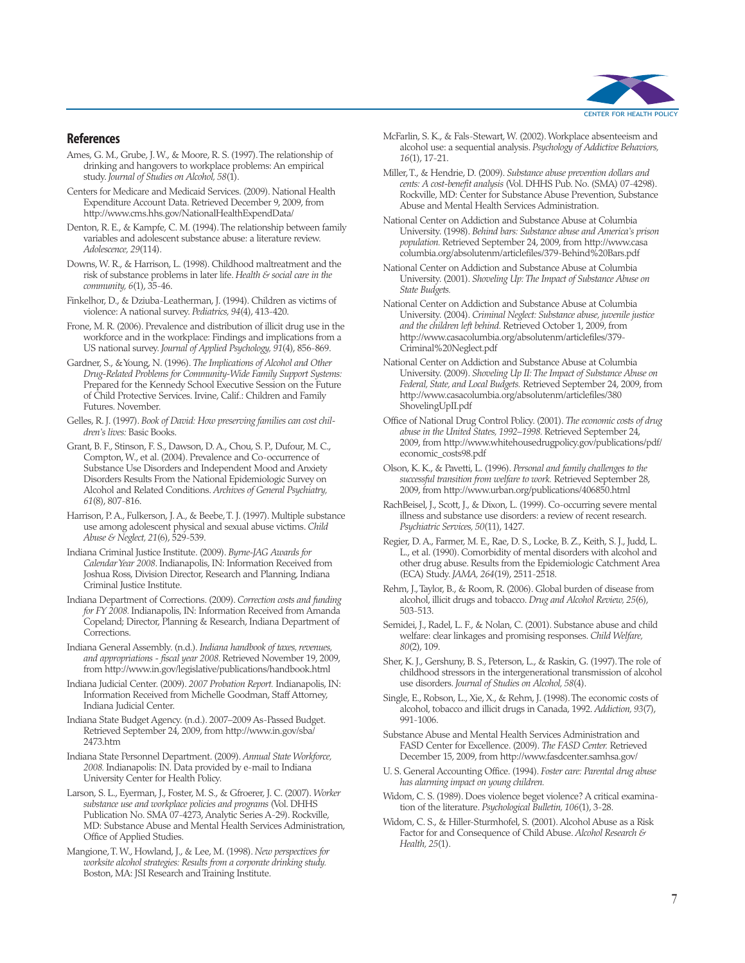

#### **References**

- Ames, G. M., Grube, J. W., & Moore, R. S. (1997). The relationship of drinking and hangovers to workplace problems: An empirical study. *Journal of Studies on Alcohol, 58*(1).
- Centers for Medicare and Medicaid Services. (2009). National Health Expenditure Account Data. Retrieved December 9, 2009, from http://www.cms.hhs.gov/NationalHealthExpendData/
- Denton, R. E., & Kampfe, C. M. (1994). The relationship between family variables and adolescent substance abuse: a literature review. *Adolescence, 29*(114).
- Downs, W. R., & Harrison, L. (1998). Childhood maltreatment and the risk of substance problems in later life. *Health & social care in the community, 6*(1), 35-46.
- Finkelhor, D., & Dziuba-Leatherman, J. (1994). Children as victims of violence: A national survey. *Pediatrics, 94*(4), 413-420.
- Frone, M. R. (2006). Prevalence and distribution of illicit drug use in the workforce and in the workplace: Findings and implications from a US national survey. *Journal of Applied Psychology, 91*(4), 856-869.
- Gardner, S., & Young, N. (1996). *The Implications of Alcohol and Other Drug-Related Problems for Community-Wide Family Support Systems:* Prepared for the Kennedy School Executive Session on the Future of Child Protective Services. Irvine, Calif.: Children and Family Futures. November.
- Gelles, R. J. (1997). *Book of David: How preserving families can cost children's lives:* Basic Books.
- Grant, B. F., Stinson, F. S., Dawson, D. A., Chou, S. P., Dufour, M. C., Compton, W., et al. (2004). Prevalence and Co-occurrence of Substance Use Disorders and Independent Mood and Anxiety Disorders Results From the National Epidemiologic Survey on Alcohol and Related Conditions. *Archives of General Psychiatry, 61*(8), 807-816.
- Harrison, P. A., Fulkerson, J. A., & Beebe, T. J. (1997). Multiple substance use among adolescent physical and sexual abuse victims. *Child Abuse & Neglect, 21*(6), 529-539.
- Indiana Criminal Justice Institute. (2009). *Byrne-JAG Awards for Calendar Year 2008*. Indianapolis, IN: Information Received from Joshua Ross, Division Director, Research and Planning, Indiana Criminal Justice Institute.
- Indiana Department of Corrections. (2009). *Correction costs and funding for FY 2008.* Indianapolis, IN: Information Received from Amanda Copeland; Director, Planning & Research, Indiana Department of Corrections.
- Indiana General Assembly. (n.d.). *Indiana handbook of taxes, revenues, and appropriations - fiscal year 2008.* Retrieved November 19, 2009, from http://www.in.gov/legislative/publications/handbook.html
- Indiana Judicial Center. (2009). *2007 Probation Report.* Indianapolis, IN: Information Received from Michelle Goodman, Staff Attorney, Indiana Judicial Center.
- Indiana State Budget Agency. (n.d.). 2007–2009 As-Passed Budget. Retrieved September 24, 2009, from http://www.in.gov/sba/ 2473.htm
- Indiana State Personnel Department. (2009). *Annual State Workforce, 2008.* Indianapolis: IN. Data provided by e-mail to Indiana University Center for Health Policy.
- Larson, S. L., Eyerman, J., Foster, M. S., & Gfroerer, J. C. (2007). *Worker substance use and workplace policies and programs* (Vol. DHHS Publication No. SMA 07-4273, Analytic Series A-29). Rockville, MD: Substance Abuse and Mental Health Services Administration, Office of Applied Studies.

Mangione, T. W., Howland, J., & Lee, M. (1998). *New perspectives for worksite alcohol strategies: Results from a corporate drinking study.* Boston, MA: JSI Research and Training Institute.

- McFarlin, S. K., & Fals-Stewart, W. (2002). Workplace absenteeism and alcohol use: a sequential analysis. *Psychology of Addictive Behaviors, 16*(1), 17-21.
- Miller, T., & Hendrie, D. (2009). *Substance abuse prevention dollars and cents: A cost-benefit analysis* (Vol. DHHS Pub. No. (SMA) 07-4298). Rockville, MD: Center for Substance Abuse Prevention, Substance Abuse and Mental Health Services Administration.
- National Center on Addiction and Substance Abuse at Columbia University. (1998). *Behind bars: Substance abuse and America's prison population.* Retrieved September 24, 2009, from http://www.casa columbia.org/absolutenm/articlefiles/379-Behind%20Bars.pdf
- National Center on Addiction and Substance Abuse at Columbia University. (2001). *Shoveling Up: The Impact of Substance Abuse on State Budgets.*
- National Center on Addiction and Substance Abuse at Columbia University. (2004). *Criminal Neglect: Substance abuse, juvenile justice and the children left behind.* Retrieved October 1, 2009, from http://www.casacolumbia.org/absolutenm/articlefiles/379- Criminal%20Neglect.pdf
- National Center on Addiction and Substance Abuse at Columbia University. (2009). *Shoveling Up II: The Impact of Substance Abuse on Federal, State, and Local Budgets.* Retrieved September 24, 2009, from http://www.casacolumbia.org/absolutenm/articlefiles/380 ShovelingUpII.pdf
- Office of National Drug Control Policy. (2001). *The economic costs of drug abuse in the United States, 1992–1998.* Retrieved September 24, 2009, from http://www.whitehousedrugpolicy.gov/publications/pdf/ economic\_costs98.pdf
- Olson, K. K., & Pavetti, L. (1996). *Personal and family challenges to the successful transition from welfare to work.* Retrieved September 28, 2009, from http://www.urban.org/publications/406850.html
- RachBeisel, J., Scott, J., & Dixon, L. (1999). Co-occurring severe mental illness and substance use disorders: a review of recent research. *Psychiatric Services, 50*(11), 1427.
- Regier, D. A., Farmer, M. E., Rae, D. S., Locke, B. Z., Keith, S. J., Judd, L. L., et al. (1990). Comorbidity of mental disorders with alcohol and other drug abuse. Results from the Epidemiologic Catchment Area (ECA) Study. *JAMA, 264*(19), 2511-2518.
- Rehm, J., Taylor, B., & Room, R. (2006). Global burden of disease from alcohol, illicit drugs and tobacco. *Drug and Alcohol Review, 25*(6), 503-513.
- Semidei, J., Radel, L. F., & Nolan, C. (2001). Substance abuse and child welfare: clear linkages and promising responses. *Child Welfare, 80*(2), 109.
- Sher, K. J., Gershuny, B. S., Peterson, L., & Raskin, G. (1997). The role of childhood stressors in the intergenerational transmission of alcohol use disorders. *Journal of Studies on Alcohol, 58*(4).
- Single, E., Robson, L., Xie, X., & Rehm, J. (1998). The economic costs of alcohol, tobacco and illicit drugs in Canada, 1992. *Addiction, 93*(7), 991-1006.
- Substance Abuse and Mental Health Services Administration and FASD Center for Excellence. (2009). *The FASD Center.* Retrieved December 15, 2009, from http://www.fasdcenter.samhsa.gov/
- U. S. General Accounting Office. (1994). *Foster care: Parental drug abuse has alarming impact on young children.*
- Widom, C. S. (1989). Does violence beget violence? A critical examination of the literature. *Psychological Bulletin, 106*(1), 3-28.
- Widom, C. S., & Hiller-Sturmhofel, S. (2001). Alcohol Abuse as a Risk Factor for and Consequence of Child Abuse. *Alcohol Research & Health, 25*(1).